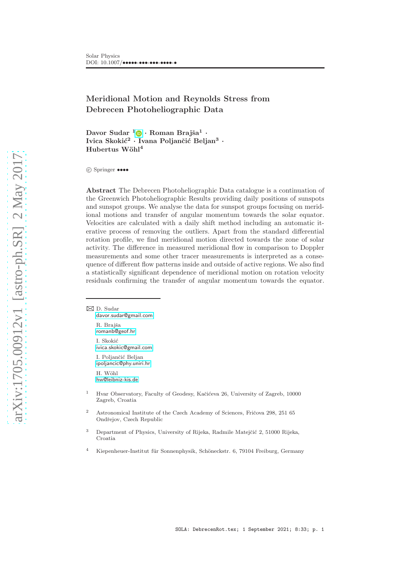# Meridional Motion and Reynolds Stress from Debrecen Photoheliographic Data

Davor Sudar <sup>[1](http://orcid.org/0000-0002-1196-6340)</sup>0 · Roman Brajša<sup>1</sup> · Ivica Skokić<sup>2</sup> · Ivana Poljančić Beljan<sup>3</sup> · Hubertus Wöhl<sup>4</sup>

c Springer ••••

Abstract The Debrecen Photoheliographic Data catalogue is a continuation of the Greenwich Photoheliographic Results providing daily positions of sunspots and sunspot groups. We analyse the data for sunspot groups focusing on meridional motions and transfer of angular momentum towards the solar equator. Velocities are calculated with a daily shift method including an automatic iterative process of removing the outliers. Apart from the standard differential rotation profile, we find meridional motion directed towards the zone of solar activity. The difference in measured meridional flow in comparison to Doppler measurements and some other tracer measurements is interpreted as a consequence of different flow patterns inside and outside of active regions. We also find a statistically significant dependence of meridional motion on rotation velocity residuals confirming the transfer of angular momentum towards the equator.

 $\boxtimes$  D. Sudar [davor.sudar@gmail.com](mailto:davor.sudar@gmail.com) R. Brajša [romanb@geof.hr](mailto:romanb@geof.hr) I. Skokić [ivica.skokic@gmail.com](mailto:ivica.skokic@gmail.com) I. Poljančić Beljan

[ipoljancic@phy.uniri.hr](mailto:ipoljancic@phy.uniri.hr) H. Wöhl [hw@leibniz-kis.de](mailto:hw@leibniz-kis.de)

- <sup>1</sup> Hvar Observatory, Faculty of Geodesy, Kačićeva 26, University of Zagreb, 10000 Zagreb, Croatia
- <sup>2</sup> Astronomical Institute of the Czech Academy of Sciences, Fričova 298, 251 65 Ondřejov, Czech Republic
- <sup>3</sup> Department of Physics, University of Rijeka, Radmile Matejčić 2, 51000 Rijeka, Croatia
- <sup>4</sup> Kiepenheuer-Institut für Sonnenphysik, Schöneckstr. 6, 79104 Freiburg, Germany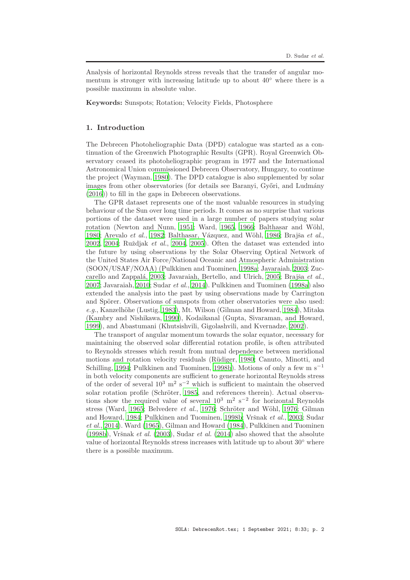Analysis of horizontal Reynolds stress reveals that the transfer of angular momentum is stronger with increasing latitude up to about  $40°$  where there is a possible maximum in absolute value.

Keywords: Sunspots; Rotation; Velocity Fields, Photosphere

# 1. Introduction

The Debrecen Photoheliographic Data (DPD) catalogue was started as a continuation of the Greenwich Photographic Results (GPR). Royal Greenwich Observatory ceased its photoheliographic program in 1977 and the International Astronomical Union commissioned Debrecen Observatory, Hungary, to continue the project (Wayman, [1980](#page-15-0)). The DPD catalogue is also supplemented by solar images from other observatories (for details see Baranyi, Győri, and Ludmány [\(2016\)](#page-13-0)) to fill in the gaps in Debrecen observations.

The GPR dataset represents one of the most valuable resources in studying behaviour of the Sun over long time periods. It comes as no surprise that various portions of the dataset were used in a large number of papers studying solar rotation (Newton and Nunn, [1951;](#page-14-0) Ward, [1965](#page-15-1), [1966](#page-15-2); Balthasar and Wöhl, [1980;](#page-12-0) Arevalo et al., [1982;](#page-12-1) Balthasar, Vázquez, and Wöhl, [1986](#page-12-2); Brajša et al., [2002,](#page-13-1) [2004;](#page-13-2) Ruždjak et al., [2004,](#page-14-1) [2005\)](#page-14-2). Often the dataset was extended into the future by using observations by the Solar Observing Optical Network of the United States Air Force/National Oceanic and Atmospheric Administration (SOON/USAF/NOAA) (Pulkkinen and Tuominen, [1998a;](#page-14-3) Javaraiah, [2003;](#page-14-4) Zuc-carello and Zappalá, [2003](#page-15-3); Javaraiah, Bertello, and Ulrich, [2005;](#page-14-5) Brajša et al., [2007;](#page-13-3) Javaraiah, [2010](#page-14-6); Sudar et al., [2014\)](#page-15-4). Pulkkinen and Tuominen [\(1998a](#page-14-3)) also extended the analysis into the past by using observations made by Carrington and Spörer. Observations of sunspots from other observatories were also used:  $e.g.,$  Kanzelhöhe (Lustig, [1983\)](#page-14-7), Mt. Wilson (Gilman and Howard, [1984](#page-13-4)), Mitaka (Kambry and Nishikawa, [1990](#page-14-8)), Kodaikanal (Gupta, Sivaraman, and Howard, [1999\)](#page-13-5), and Abastumani (Khutsishvili, Gigolashvili, and Kvernadze, [2002\)](#page-14-9).

The transport of angular momentum towards the solar equator, necessary for maintaining the observed solar differential rotation profile, is often attributed to Reynolds stresses which result from mutual dependence between meridional motions and rotation velocity residuals (R¨udiger, [1980;](#page-14-10) Canuto, Minotti, and Schilling, [1994;](#page-13-6) Pulkkinen and Tuominen, [1998b\)](#page-14-11). Motions of only a few m  $s^{-1}$ in both velocity components are sufficient to generate horizontal Reynolds stress of the order of several  $10^3$  m<sup>2</sup> s<sup>-2</sup> which is sufficient to maintain the observed solar rotation profile (Schröter, [1985,](#page-14-12) and references therein). Actual observations show the required value of several  $10^3$  m<sup>2</sup> s<sup>-2</sup> for horizontal Reynolds stress (Ward, [1965](#page-15-1); Belvedere et al., [1976](#page-14-13); Schröter and Wöhl, 1976; Gilman and Howard, [1984;](#page-13-4) Pulkkinen and Tuominen, [1998b](#page-14-11); Vršnak et al., [2003](#page-15-5); Sudar et al., [2014\)](#page-15-4). Ward [\(1965\)](#page-15-1), Gilman and Howard [\(1984](#page-13-4)), Pulkkinen and Tuominen [\(1998b](#page-14-11)), Vršnak et al. [\(2003\)](#page-15-5), Sudar et al. [\(2014\)](#page-15-4) also showed that the absolute value of horizontal Reynolds stress increases with latitude up to about  $30°$  where there is a possible maximum.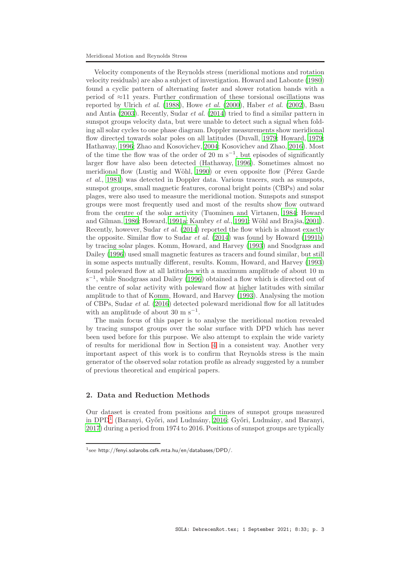Velocity components of the Reynolds stress (meridional motions and rotation velocity residuals) are also a subject of investigation. Howard and Labonte [\(1980\)](#page-13-8) found a cyclic pattern of alternating faster and slower rotation bands with a period of ≈11 years. Further confirmation of these torsional oscillations was reported by Ulrich et al.  $(1988)$  $(1988)$ , Howe et al.  $(2000)$  $(2000)$ , Haber et al.  $(2002)$ , Basu and Antia [\(2003](#page-13-10)). Recently, Sudar et al. [\(2014\)](#page-15-4) tried to find a similar pattern in sunspot groups velocity data, but were unable to detect such a signal when folding all solar cycles to one phase diagram. Doppler measurements show meridional flow directed towards solar poles on all latitudes (Duvall, [1979](#page-13-11); Howard, [1979;](#page-13-12) Hathaway, [1996](#page-13-13); Zhao and Kosovichev, [2004](#page-15-7); Kosovichev and Zhao, [2016](#page-14-15)). Most of the time the flow was of the order of 20 m s<sup>-1</sup>, but episodes of significantly larger flow have also been detected (Hathaway, [1996\)](#page-13-13). Sometimes almost no meridional flow (Lustig and Wöhl, [1990\)](#page-14-16) or even opposite flow (Pérez Garde et al., [1981\)](#page-14-17) was detected in Doppler data. Various tracers, such as sunspots, sunspot groups, small magnetic features, coronal bright points (CBPs) and solar plages, were also used to measure the meridional motion. Sunspots and sunspot groups were most frequently used and most of the results show flow outward from the centre of the solar activity (Tuominen and Virtanen, [1984;](#page-15-8) Howard and Gilman, [1986](#page-13-14); Howard, [1991a](#page-13-15); Kambry et al., [1991](#page-14-18); Wöhl and Brajša, [2001](#page-15-9)). Recently, however, Sudar et al. [\(2014\)](#page-15-4) reported the flow which is almost exactly the opposite. Similar flow to Sudar *et al.*  $(2014)$  was found by Howard  $(1991b)$ by tracing solar plages. Komm, Howard, and Harvey [\(1993](#page-14-19)) and Snodgrass and Dailey [\(1996](#page-14-20)) used small magnetic features as tracers and found similar, but still in some aspects mutually different, results. Komm, Howard, and Harvey [\(1993\)](#page-14-19) found poleward flow at all latitudes with a maximum amplitude of about 10 m s<sup>-1</sup>, while Snodgrass and Dailey [\(1996](#page-14-20)) obtained a flow which is directed out of the centre of solar activity with poleward flow at higher latitudes with similar amplitude to that of Komm, Howard, and Harvey [\(1993](#page-14-19)). Analysing the motion of CBPs, Sudar et al. [\(2016\)](#page-15-10) detected poleward meridional flow for all latitudes with an amplitude of about  $30 \text{ m s}^{-1}$ .

The main focus of this paper is to analyse the meridional motion revealed by tracing sunspot groups over the solar surface with DPD which has never been used before for this purpose. We also attempt to explain the wide variety of results for meridional flow in Section [4](#page-8-0) in a consistent way. Another very important aspect of this work is to confirm that Reynolds stress is the main generator of the observed solar rotation profile as already suggested by a number of previous theoretical and empirical papers.

# 2. Data and Reduction Methods

Our dataset is created from positions and times of sunspot groups measured in DPD<sup>[1](#page-2-0)</sup> (Baranyi, Győri, and Ludmány, [2016](#page-13-0); Győri, Ludmány, and Baranyi, [2017\)](#page-13-17) during a period from 1974 to 2016. Positions of sunspot groups are typically

<span id="page-2-0"></span><sup>1</sup> see <http://fenyi.solarobs.csfk.mta.hu/en/databases/DPD/>.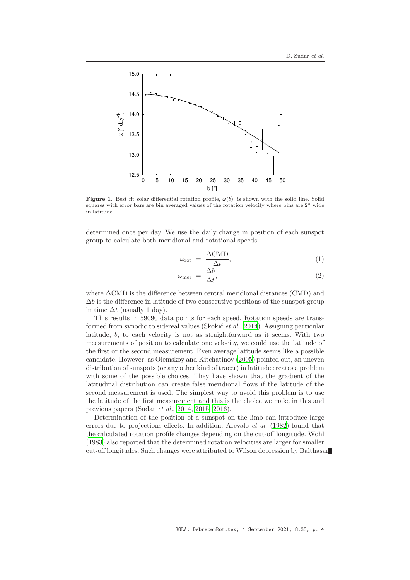

<span id="page-3-0"></span>Figure 1. Best fit solar differential rotation profile,  $\omega(b)$ , is shown with the solid line. Solid squares with error bars are bin averaged values of the rotation velocity where bins are  $2<sup>°</sup>$  wide in latitude.

determined once per day. We use the daily change in position of each sunspot group to calculate both meridional and rotational speeds:

$$
\omega_{\rm rot} = \frac{\Delta \text{CMD}}{\Delta t},\tag{1}
$$

$$
\omega_{\text{mer}} = \frac{\Delta b}{\Delta t},\tag{2}
$$

where ∆CMD is the difference between central meridional distances (CMD) and  $\Delta b$  is the difference in latitude of two consecutive positions of the sunspot group in time  $\Delta t$  (usually 1 day).

This results in 59090 data points for each speed. Rotation speeds are transformed from synodic to sidereal values (Skokić *et al.*, [2014](#page-14-21)). Assigning particular latitude, b, to each velocity is not as straightforward as it seems. With two measurements of position to calculate one velocity, we could use the latitude of the first or the second measurement. Even average latitude seems like a possible candidate. However, as Olemskoy and Kitchatinov [\(2005](#page-14-22)) pointed out, an uneven distribution of sunspots (or any other kind of tracer) in latitude creates a problem with some of the possible choices. They have shown that the gradient of the latitudinal distribution can create false meridional flows if the latitude of the second measurement is used. The simplest way to avoid this problem is to use the latitude of the first measurement and this is the choice we make in this and previous papers (Sudar et al., [2014](#page-15-4), [2015](#page-15-11), [2016](#page-15-10)).

Determination of the position of a sunspot on the limb can introduce large errors due to projections effects. In addition, Arevalo et al. [\(1982\)](#page-12-1) found that the calculated rotation profile changes depending on the cut-off longitude. Wöhl [\(1983\)](#page-15-12) also reported that the determined rotation velocities are larger for smaller cut-off longitudes. Such changes were attributed to Wilson depression by Balthasar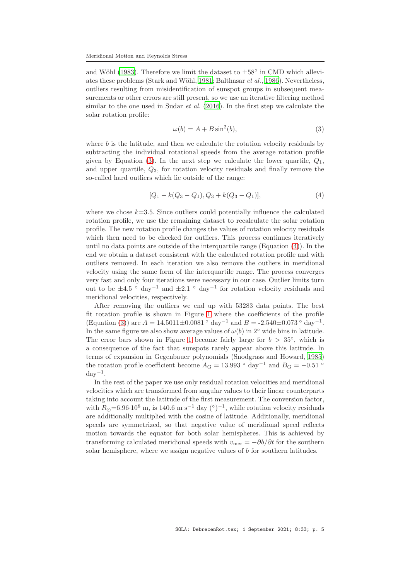and Wöhl [\(1983\)](#page-12-3). Therefore we limit the dataset to  $\pm 58^\circ$  in CMD which allevi-ates these problems (Stark and Wöhl, [1981](#page-15-13); Balthasar *et al.*, [1986\)](#page-13-18). Nevertheless, outliers resulting from misidentification of sunspot groups in subsequent measurements or other errors are still present, so we use an iterative filtering method similar to the one used in Sudar *et al.* [\(2016\)](#page-15-10). In the first step we calculate the solar rotation profile:

<span id="page-4-0"></span>
$$
\omega(b) = A + B \sin^2(b),\tag{3}
$$

where  $b$  is the latitude, and then we calculate the rotation velocity residuals by subtracting the individual rotational speeds from the average rotation profile given by Equation [\(3\)](#page-4-0). In the next step we calculate the lower quartile,  $Q_1$ , and upper quartile, Q3, for rotation velocity residuals and finally remove the so-called hard outliers which lie outside of the range:

<span id="page-4-1"></span>
$$
[Q_1 - k(Q_3 - Q_1), Q_3 + k(Q_3 - Q_1)], \tag{4}
$$

where we chose  $k=3.5$ . Since outliers could potentially influence the calculated rotation profile, we use the remaining dataset to recalculate the solar rotation profile. The new rotation profile changes the values of rotation velocity residuals which then need to be checked for outliers. This process continues iteratively until no data points are outside of the interquartile range (Equation [\(4\)](#page-4-1)). In the end we obtain a dataset consistent with the calculated rotation profile and with outliers removed. In each iteration we also remove the outliers in meridional velocity using the same form of the interquartile range. The process converges very fast and only four iterations were necessary in our case. Outlier limits turn out to be  $\pm 4.5$  ° day<sup>-1</sup> and  $\pm 2.1$  ° day<sup>-1</sup> for rotation velocity residuals and meridional velocities, respectively.

After removing the outliers we end up with 53283 data points. The best fit rotation profile is shown in Figure [1](#page-3-0) where the coefficients of the profile (Equation [\(3\)](#page-4-0)) are  $A = 14.5011 \pm 0.0081$  ° day<sup>-1</sup> and  $B = -2.540 \pm 0.073$  ° day<sup>-1</sup>. In the same figure we also show average values of  $\omega(b)$  in  $2°$  wide bins in latitude. The error bars shown in Figure [1](#page-3-0) become fairly large for  $b > 35^\circ$ , which is a consequence of the fact that sunspots rarely appear above this latitude. In terms of expansion in Gegenbauer polynomials (Snodgrass and Howard, [1985\)](#page-14-23) the rotation profile coefficient become  $A_{\rm G} = 13.993$  ° day<sup>-1</sup> and  $B_{\rm G} = -0.51$  °  $day^{-1}$ .

In the rest of the paper we use only residual rotation velocities and meridional velocities which are transformed from angular values to their linear counterparts taking into account the latitude of the first measurement. The conversion factor, with  $R_{\odot} = 6.96 \cdot 10^8$  m, is 140.6 m s<sup>-1</sup> day (°)<sup>-1</sup>, while rotation velocity residuals are additionally multiplied with the cosine of latitude. Additionally, meridional speeds are symmetrized, so that negative value of meridional speed reflects motion towards the equator for both solar hemispheres. This is achieved by transforming calculated meridional speeds with  $v_{\text{mer}} = -\partial b/\partial t$  for the southern solar hemisphere, where we assign negative values of b for southern latitudes.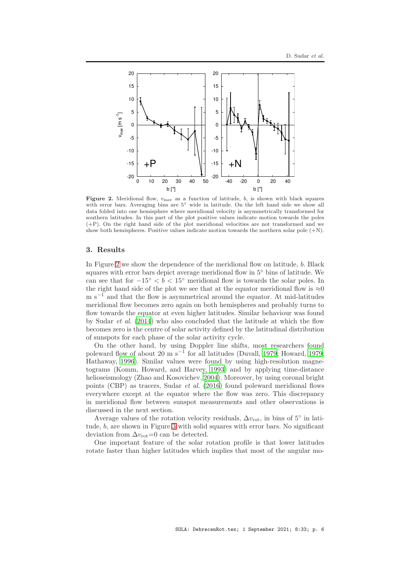

<span id="page-5-0"></span>Figure 2. Meridional flow,  $v_{\text{mer}}$  as a function of latitude,  $b$ , is shown with black squares with error bars. Averaging bins are  $5<sup>°</sup>$  wide in latitude. On the left hand side we show all data folded into one hemisphere where meridional velocity is asymmetrically transformed for southern latitudes. In this part of the plot positive values indicate motion towards the poles (+P). On the right hand side of the plot meridional velocities are not transformed and we show both hemispheres. Positive values indicate motion towards the northern solar pole  $(+N)$ .

#### 3. Results

In Figure [2](#page-5-0) we show the dependence of the meridional flow on latitude, b. Black squares with error bars depict average meridional flow in  $5°$  bins of latitude. We can see that for  $-15° < b < 15°$  meridional flow is towards the solar poles. In the right hand side of the plot we see that at the equator meridional flow is  $\approx 0$  $m s^{-1}$  and that the flow is asymmetrical around the equator. At mid-latitudes meridional flow becomes zero again on both hemispheres and probably turns to flow towards the equator at even higher latitudes. Similar behaviour was found by Sudar *et al.* [\(2014](#page-15-4)) who also concluded that the latitude at which the flow becomes zero is the centre of solar activity defined by the latitudinal distribution of sunspots for each phase of the solar activity cycle.

On the other hand, by using Doppler line shifts, most researchers found poleward flow of about 20 m s<sup>-1</sup> for all latitudes (Duvall, [1979;](#page-13-12) Howard, 1979; Hathaway, [1996\)](#page-13-13). Similar values were found by using high-resolution magnetograms (Komm, Howard, and Harvey, [1993](#page-14-19)) and by applying time-distance helioseismology (Zhao and Kosovichev, [2004\)](#page-15-7). Moreover, by using coronal bright points (CBP) as tracers, Sudar et al. [\(2016\)](#page-15-10) found poleward meridional flows everywhere except at the equator where the flow was zero. This discrepancy in meridional flow between sunspot measurements and other observations is discussed in the next section.

Average values of the rotation velocity residuals,  $\Delta v_{\text{rot}}$ , in bins of 5° in latitude, b, are shown in Figure [3](#page-6-0) with solid squares with error bars. No significant deviation from  $\Delta v_{\text{rot}}=0$  can be detected.

One important feature of the solar rotation profile is that lower latitudes rotate faster than higher latitudes which implies that most of the angular mo-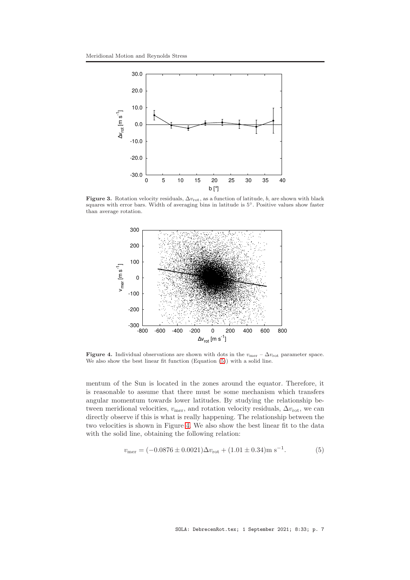

Figure 3. Rotation velocity residuals,  $\Delta v_{\text{rot}}$ , as a function of latitude, b, are shown with black squares with error bars. Width of averaging bins in latitude is 5◦. Positive values show faster than average rotation.

<span id="page-6-0"></span>

<span id="page-6-2"></span>Figure 4. Individual observations are shown with dots in the  $v_{\text{mer}} - \Delta v_{\text{rot}}$  parameter space. We also show the best linear fit function (Equation [\(5\)](#page-6-1)) with a solid line.

mentum of the Sun is located in the zones around the equator. Therefore, it is reasonable to assume that there must be some mechanism which transfers angular momentum towards lower latitudes. By studying the relationship between meridional velocities,  $v_{\text{mer}}$ , and rotation velocity residuals,  $\Delta v_{\text{rot}}$ , we can directly observe if this is what is really happening. The relationship between the two velocities is shown in Figure [4.](#page-6-2) We also show the best linear fit to the data with the solid line, obtaining the following relation:

<span id="page-6-1"></span>
$$
v_{\text{mer}} = (-0.0876 \pm 0.0021) \Delta v_{\text{rot}} + (1.01 \pm 0.34) \text{m s}^{-1}.
$$
 (5)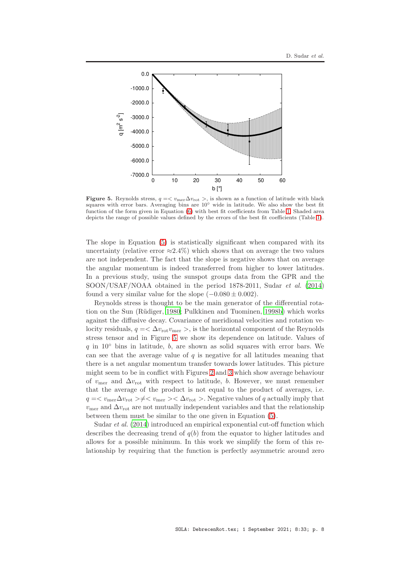

<span id="page-7-0"></span>Figure 5. Reynolds stress,  $q = \langle v_{\text{mer}} \Delta v_{\text{rot}} \rangle$ , is shown as a function of latitude with black squares with error bars. Averaging bins are  $10<sup>°</sup>$  wide in latitude. We also show the best fit function of the form given in Equation [\(6\)](#page-8-1) with best fit coefficients from Table [1.](#page-8-2) Shaded area depicts the range of possible values defined by the errors of the best fit coefficients (Table [1\)](#page-8-2).

The slope in Equation [\(5\)](#page-6-1) is statistically significant when compared with its uncertainty (relative error  $\approx 2.4\%$ ) which shows that on average the two values are not independent. The fact that the slope is negative shows that on average the angular momentum is indeed transferred from higher to lower latitudes. In a previous study, using the sunspot groups data from the GPR and the SOON/USAF/NOAA obtained in the period 1878-2011, Sudar et al. [\(2014\)](#page-15-4) found a very similar value for the slope  $(-0.080 \pm 0.002)$ .

Reynolds stress is thought to be the main generator of the differential rota-tion on the Sun (Rüdiger, [1980](#page-14-10); Pulkkinen and Tuominen, [1998b\)](#page-14-11) which works against the diffusive decay. Covariance of meridional velocities and rotation velocity residuals,  $q = \langle \Delta v_{\text{rot}} v_{\text{mer}} \rangle$ , is the horizontal component of the Reynolds stress tensor and in Figure [5](#page-7-0) we show its dependence on latitude. Values of  $q$  in 10 $\degree$  bins in latitude, b, are shown as solid squares with error bars. We can see that the average value of  $q$  is negative for all latitudes meaning that there is a net angular momentum transfer towards lower latitudes. This picture might seem to be in conflict with Figures [2](#page-5-0) and [3](#page-6-0) which show average behaviour of  $v_{\text{mer}}$  and  $\Delta v_{\text{rot}}$  with respect to latitude, b. However, we must remember that the average of the product is not equal to the product of averages, i.e.  $q = \langle v_{\text{mer}} \Delta v_{\text{rot}} \rangle \neq \langle v_{\text{mer}} \rangle \langle \Delta v_{\text{rot}} \rangle$ . Negative values of q actually imply that  $v_{\text{mer}}$  and  $\Delta v_{\text{rot}}$  are not mutually independent variables and that the relationship between them must be similar to the one given in Equation [\(5\)](#page-6-1).

Sudar et al. [\(2014\)](#page-15-4) introduced an empirical exponential cut-off function which describes the decreasing trend of  $q(b)$  from the equator to higher latitudes and allows for a possible minimum. In this work we simplify the form of this relationship by requiring that the function is perfectly asymmetric around zero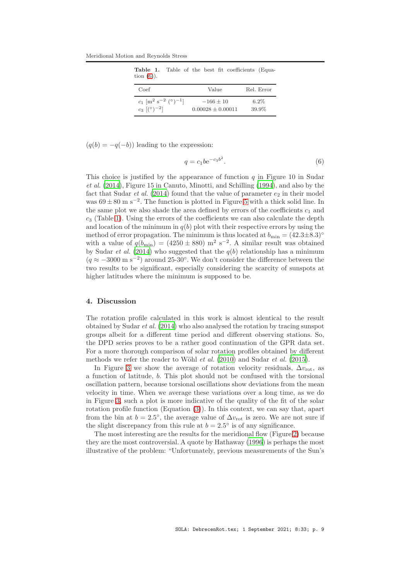Meridional Motion and Reynolds Stress

<span id="page-8-2"></span>

| <b>Table 1.</b> Table of the best fit coefficients (Equa-<br>tion $(6)$ ).                  |                                      |                  |
|---------------------------------------------------------------------------------------------|--------------------------------------|------------------|
| Coef                                                                                        | Value                                | Rel. Error       |
| $c_1$ [m <sup>2</sup> s <sup>-2</sup> (°) <sup>-1</sup> ]<br>$c_3$ $\lceil (°)^{-2} \rceil$ | $-166 + 10$<br>$0.00028 \pm 0.00011$ | $6.2\%$<br>39.9% |

 $(q(b) = -q(-b))$  leading to the expression:

<span id="page-8-1"></span>
$$
q = c_1 b e^{-c_3 b^2}.\tag{6}
$$

This choice is justified by the appearance of function  $q$  in Figure 10 in Sudar et al. [\(2014](#page-15-4)), Figure 15 in Canuto, Minotti, and Schilling [\(1994\)](#page-13-6), and also by the fact that Sudar *et al.* [\(2014](#page-15-4)) found that the value of parameter  $e_2$  in their model was  $69 \pm 80$  m s<sup>-2</sup>. The function is plotted in Figure [5](#page-7-0) with a thick solid line. In the same plot we also shade the area defined by errors of the coefficients  $c_1$  and  $c_3$  (Table [1\)](#page-8-2). Using the errors of the coefficients we can also calculate the depth and location of the minimum in  $q(b)$  plot with their respective errors by using the method of error propagation. The minimum is thus located at  $b_{\min} = (42.3 \pm 8.3)$ <sup>o</sup> with a value of  $q(b_{\text{min}}) = (4250 \pm 880) \text{ m}^2 \text{ s}^{-2}$ . A similar result was obtained by Sudar *et al.* [\(2014\)](#page-15-4) who suggested that the  $q(b)$  relationship has a minimum  $(q \approx -3000 \text{ m s}^{-2})$  around 25-30°. We don't consider the difference between the two results to be significant, especially considering the scarcity of sunspots at higher latitudes where the minimum is supposed to be.

#### <span id="page-8-0"></span>4. Discussion

The rotation profile calculated in this work is almost identical to the result obtained by Sudar et al. [\(2014\)](#page-15-4) who also analysed the rotation by tracing sunspot groups albeit for a different time period and different observing stations. So, the DPD series proves to be a rather good continuation of the GPR data set. For a more thorough comparison of solar rotation profiles obtained by different methods we refer the reader to Wöhl *et al.* [\(2010\)](#page-15-14) and Sudar *et al.* [\(2015](#page-15-11)).

In Figure [3](#page-6-0) we show the average of rotation velocity residuals,  $\Delta v_{\rm rot}$ , as a function of latitude, b. This plot should not be confused with the torsional oscillation pattern, because torsional oscillations show deviations from the mean velocity in time. When we average these variations over a long time, as we do in Figure [3,](#page-6-0) such a plot is more indicative of the quality of the fit of the solar rotation profile function (Equation [\(3\)](#page-4-0)). In this context, we can say that, apart from the bin at  $b = 2.5^{\circ}$ , the average value of  $\Delta v_{\text{rot}}$  is zero. We are not sure if the slight discrepancy from this rule at  $b = 2.5^{\circ}$  is of any significance.

The most interesting are the results for the meridional flow (Figure [2\)](#page-5-0) because they are the most controversial. A quote by Hathaway [\(1996](#page-13-13)) is perhaps the most illustrative of the problem: "Unfortunately, previous measurements of the Sun's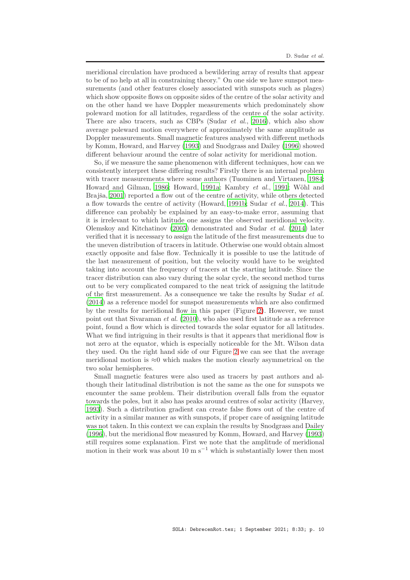meridional circulation have produced a bewildering array of results that appear to be of no help at all in constraining theory." On one side we have sunspot measurements (and other features closely associated with sunspots such as plages) which show opposite flows on opposite sides of the centre of the solar activity and on the other hand we have Doppler measurements which predominately show poleward motion for all latitudes, regardless of the centre of the solar activity. There are also tracers, such as CBPs (Sudar *et al.*, [2016](#page-15-10)), which also show average poleward motion everywhere of approximately the same amplitude as Doppler measurements. Small magnetic features analysed with different methods by Komm, Howard, and Harvey [\(1993](#page-14-19)) and Snodgrass and Dailey [\(1996](#page-14-20)) showed different behaviour around the centre of solar activity for meridional motion.

So, if we measure the same phenomenon with different techniques, how can we consistently interpret these differing results? Firstly there is an internal problem with tracer measurements where some authors (Tuominen and Virtanen, [1984;](#page-15-8) Howard and Gilman, [1986;](#page-13-14) Howard, [1991a;](#page-13-15) Kambry et al., [1991](#page-14-18); Wöhl and Brajša, [2001](#page-15-9)) reported a flow out of the centre of activity, while others detected a flow towards the centre of activity (Howard, [1991b;](#page-13-16) Sudar et al., [2014\)](#page-15-4). This difference can probably be explained by an easy-to-make error, assuming that it is irrelevant to which latitude one assigns the observed meridional velocity. Olemskoy and Kitchatinov [\(2005\)](#page-14-22) demonstrated and Sudar et al. [\(2014\)](#page-15-4) later verified that it is necessary to assign the latitude of the first measurements due to the uneven distribution of tracers in latitude. Otherwise one would obtain almost exactly opposite and false flow. Technically it is possible to use the latitude of the last measurement of position, but the velocity would have to be weighted taking into account the frequency of tracers at the starting latitude. Since the tracer distribution can also vary during the solar cycle, the second method turns out to be very complicated compared to the neat trick of assigning the latitude of the first measurement. As a consequence we take the results by Sudar et al. [\(2014\)](#page-15-4) as a reference model for sunspot measurements which are also confirmed by the results for meridional flow in this paper (Figure [2\)](#page-5-0). However, we must point out that Sivaraman et al. [\(2010\)](#page-14-24), who also used first latitude as a reference point, found a flow which is directed towards the solar equator for all latitudes. What we find intriguing in their results is that it appears that meridional flow is not zero at the equator, which is especially noticeable for the Mt. Wilson data they used. On the right hand side of our Figure [2](#page-5-0) we can see that the average meridional motion is  $\approx 0$  which makes the motion clearly asymmetrical on the two solar hemispheres.

Small magnetic features were also used as tracers by past authors and although their latitudinal distribution is not the same as the one for sunspots we encounter the same problem. Their distribution overall falls from the equator towards the poles, but it also has peaks around centres of solar activity (Harvey, [1993\)](#page-13-19). Such a distribution gradient can create false flows out of the centre of activity in a similar manner as with sunspots, if proper care of assigning latitude was not taken. In this context we can explain the results by Snodgrass and Dailey [\(1996\)](#page-14-20), but the meridional flow measured by Komm, Howard, and Harvey [\(1993\)](#page-14-19) still requires some explanation. First we note that the amplitude of meridional motion in their work was about 10 m s<sup> $-1$ </sup> which is substantially lower then most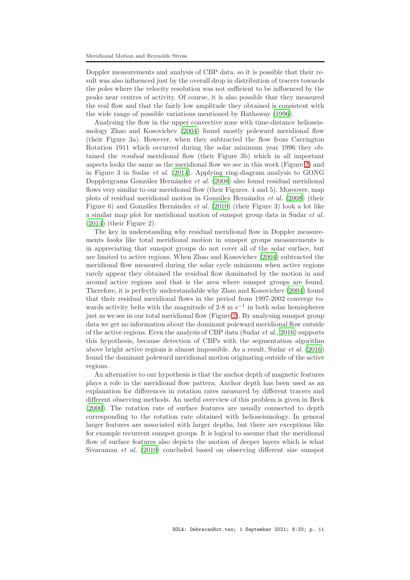Doppler measurements and analysis of CBP data, so it is possible that their result was also influenced just by the overall drop in distribution of tracers towards the poles where the velocity resolution was not sufficient to be influenced by the peaks near centres of activity. Of course, it is also possible that they measured the real flow and that the fairly low amplitude they obtained is consistent with the wide range of possible variations mentioned by Hathaway [\(1996\)](#page-13-13).

Analysing the flow in the upper convective zone with time-distance helioseismology Zhao and Kosovichev [\(2004\)](#page-15-7) found mostly poleward meridional flow (their Figure 3a). However, when they subtracted the flow from Carrington Rotation 1911 which occurred during the solar minimum year 1996 they obtained the residual meridional flow (their Figure 3b) which in all important aspects looks the same as the meridional flow we see in this work (Figure [2\)](#page-5-0) and in Figure 3 in Sudar et al. [\(2014\)](#page-15-4). Applying ring-diagram analysis to GONG Dopplergrams González Hernández et al. [\(2008\)](#page-13-20) also found residual meridional flows very similar to our meridional flow (their Figures. 4 and 5). Moreover, map plots of residual meridional motion in González Hernández et al.  $(2008)$  (their Figure 6) and González Hernández et al.  $(2010)$  (their Figure 3) look a lot like a similar map plot for meridional motion of sunspot group data in Sudar et al. [\(2014\)](#page-15-4) (their Figure 2).

The key in understanding why residual meridional flow in Doppler measurements looks like total meridional motion in sunspot groups measurements is in appreciating that sunspot groups do not cover all of the solar surface, but are limited to active regions. When Zhao and Kosovichev [\(2004\)](#page-15-7) subtracted the meridional flow measured during the solar cycle minimum when active regions rarely appear they obtained the residual flow dominated by the motion in and around active regions and that is the area where sunspot groups are found. Therefore, it is perfectly understandable why Zhao and Kosovichev [\(2004](#page-15-7)) found that their residual meridional flows in the period from 1997-2002 converge towards activity belts with the magnitude of  $2-8$  m s<sup>-1</sup> in both solar hemispheres just as we see in our total meridional flow (Figure [2\)](#page-5-0). By analysing sunspot group data we get no information about the dominant poleward meridional flow outside of the active regions. Even the analysis of CBP data (Sudar *et al.*, [2016\)](#page-15-10) supports this hypothesis, because detection of CBPs with the segmentation algorithm above bright active regions is almost impossible. As a result, Sudar et al. [\(2016\)](#page-15-10) found the dominant poleward meridional motion originating outside of the active regions.

An alternative to our hypothesis is that the anchor depth of magnetic features plays a role in the meridional flow pattern. Anchor depth has been used as an explanation for differences in rotation rates measured by different tracers and different observing methods. An useful overview of this problem is given in Beck [\(2000\)](#page-13-22). The rotation rate of surface features are usually connected to depth corresponding to the rotation rate obtained with helioseismology. In general larger features are associated with larger depths, but there are exceptions like for example recurrent sunspot groups. It is logical to assume that the meridional flow of surface features also depicts the motion of deeper layers which is what Sivaraman et al. [\(2010\)](#page-14-24) concluded based on observing different size sunspot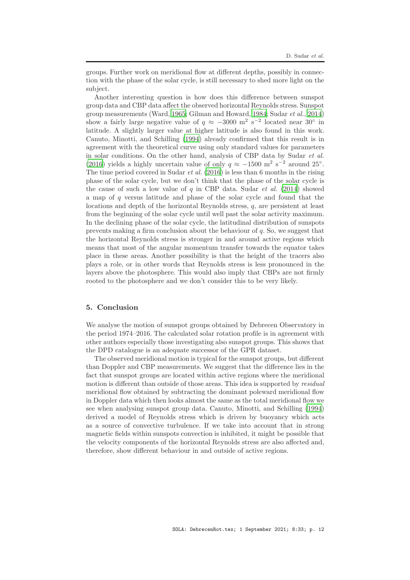groups. Further work on meridional flow at different depths, possibly in connection with the phase of the solar cycle, is still necessary to shed more light on the subject.

Another interesting question is how does this difference between sunspot group data and CBP data affect the observed horizontal Reynolds stress. Sunspot group measurements (Ward, [1965](#page-15-1); Gilman and Howard, [1984;](#page-13-4) Sudar et al., [2014\)](#page-15-4) show a fairly large negative value of  $q \approx -3000$  m<sup>2</sup> s<sup>-2</sup> located near 30<sup>°</sup> in latitude. A slightly larger value at higher latitude is also found in this work. Canuto, Minotti, and Schilling [\(1994\)](#page-13-6) already confirmed that this result is in agreement with the theoretical curve using only standard values for parameters in solar conditions. On the other hand, analysis of CBP data by Sudar et al. [\(2016\)](#page-15-10) yields a highly uncertain value of only  $q \approx -1500$  m<sup>2</sup> s<sup>-2</sup> around 25°. The time period covered in Sudar *et al.*  $(2016)$  $(2016)$  is less than 6 months in the rising phase of the solar cycle, but we don't think that the phase of the solar cycle is the cause of such a low value of  $q$  in CBP data. Sudar *et al.* [\(2014](#page-15-4)) showed a map of q versus latitude and phase of the solar cycle and found that the locations and depth of the horizontal Reynolds stress, q, are persistent at least from the beginning of the solar cycle until well past the solar activity maximum. In the declining phase of the solar cycle, the latitudinal distribution of sunspots prevents making a firm conclusion about the behaviour of  $q$ . So, we suggest that the horizontal Reynolds stress is stronger in and around active regions which means that most of the angular momentum transfer towards the equator takes place in these areas. Another possibility is that the height of the tracers also plays a role, or in other words that Reynolds stress is less pronounced in the layers above the photosphere. This would also imply that CBPs are not firmly rooted to the photosphere and we don't consider this to be very likely.

## 5. Conclusion

We analyse the motion of sunspot groups obtained by Debrecen Observatory in the period 1974–2016. The calculated solar rotation profile is in agreement with other authors especially those investigating also sunspot groups. This shows that the DPD catalogue is an adequate successor of the GPR dataset.

The observed meridional motion is typical for the sunspot groups, but different than Doppler and CBP measurements. We suggest that the difference lies in the fact that sunspot groups are located within active regions where the meridional motion is different than outside of those areas. This idea is supported by residual meridional flow obtained by subtracting the dominant poleward meridional flow in Doppler data which then looks almost the same as the total meridional flow we see when analysing sunspot group data. Canuto, Minotti, and Schilling [\(1994\)](#page-13-6) derived a model of Reynolds stress which is driven by buoyancy which acts as a source of convective turbulence. If we take into account that in strong magnetic fields within sunspots convection is inhibited, it might be possible that the velocity components of the horizontal Reynolds stress are also affected and, therefore, show different behaviour in and outside of active regions.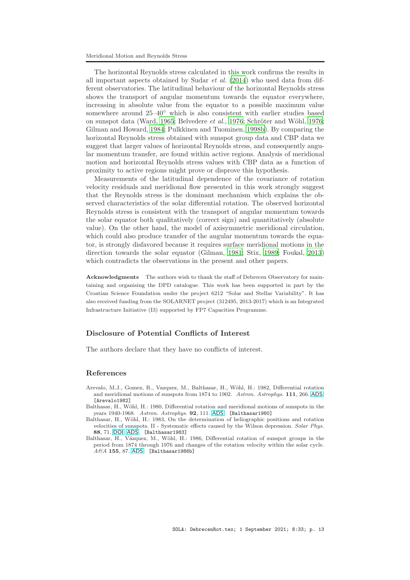The horizontal Reynolds stress calculated in this work confirms the results in all important aspects obtained by Sudar  $et \ al.$  [\(2014\)](#page-15-4) who used data from different observatories. The latitudinal behaviour of the horizontal Reynolds stress shows the transport of angular momentum towards the equator everywhere, increasing in absolute value from the equator to a possible maximum value somewhere around  $25-40°$  which is also consistent with earlier studies based on sunspot data (Ward, [1965;](#page-15-1) Belvedere *et al.*, [1976;](#page-14-13) Schröter and Wöhl, 1976; Gilman and Howard, [1984](#page-13-4); Pulkkinen and Tuominen, [1998b\)](#page-14-11). By comparing the horizontal Reynolds stress obtained with sunspot group data and CBP data we suggest that larger values of horizontal Reynolds stress, and consequently angular momentum transfer, are found within active regions. Analysis of meridional motion and horizontal Reynolds stress values with CBP data as a function of proximity to active regions might prove or disprove this hypothesis.

Measurements of the latitudinal dependence of the covariance of rotation velocity residuals and meridional flow presented in this work strongly suggest that the Reynolds stress is the dominant mechanism which explains the observed characteristics of the solar differential rotation. The observed horizontal Reynolds stress is consistent with the transport of angular momentum towards the solar equator both qualitatively (correct sign) and quantitatively (absolute value). On the other hand, the model of axisymmetric meridional circulation, which could also produce transfer of the angular momentum towards the equator, is strongly disfavored because it requires surface meridional motions in the direction towards the solar equator (Gilman, [1981](#page-13-23); Stix, [1989](#page-15-15); Foukal, [2013\)](#page-13-24) which contradicts the observations in the present and other papers.

Acknowledgments The authors wish to thank the staff of Debrecen Observatory for maintaining and organising the DPD catalogue. This work has been supported in part by the Croatian Science Foundation under the project 6212 "Solar and Stellar Variability". It has also received funding from the SOLARNET project (312495, 2013-2017) which is an Integrated Infrastructure Initiative (I3) supported by FP7 Capacities Programme.

# Disclosure of Potential Conflicts of Interest

The authors declare that they have no conflicts of interest.

### References

- <span id="page-12-1"></span>Arevalo, M.J., Gomez, R., Vazquez, M., Balthasar, H., Wöhl, H.: 1982, Differential rotation and meridional motions of sunspots from 1874 to 1902. *Astron. Astrophys.* 111, 266. [ADS](http://adsabs.harvard.edu/abs/1982A%26A...111..266A). [Arevalo1982]
- <span id="page-12-0"></span>Balthasar, H., Wöhl, H.: 1980, Differential rotation and meridional motions of sunspots in the years 1940-1968. *Astron. Astrophys.* 92, 111. [ADS](http://adsabs.harvard.edu/abs/1980A%26A....92..111B). [Balthasar1980]
- <span id="page-12-3"></span>Balthasar, H., Wöhl, H.: 1983, On the determination of heliographic positions and rotation velocities of sunspots. II - Systematic effects caused by the Wilson depression. *Solar Phys.* 88, 71. [DOI](http://dx.doi.org/10.1007/BF00196178). [ADS](http://adsabs.harvard.edu/abs/1983SoPh...88...71B). [Balthasar1983]
- <span id="page-12-2"></span>Balthasar, H., Vázquez, M., Wöhl, H.: 1986, Differential rotation of sunspot groups in the period from 1874 through 1976 and changes of the rotation velocity within the solar cycle. *A&A* 155, 87. [ADS](http://adsabs.harvard.edu/abs/1986A%26A...155...87B). [Balthasar1986b]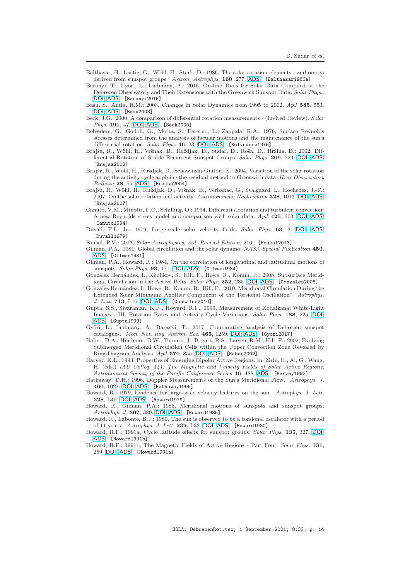- <span id="page-13-18"></span>Balthasar, H., Lustig, G., Wöhl, H., Stark, D.: 1986, The solar rotation elements i and omega derived from sunspot groups. Astron. Astrophys. 160, 277. [ADS](http://adsabs.harvard.edu/abs/1986A%26A...160..277B). [Balthasar1986a]
- <span id="page-13-0"></span>Baranyi, T., Győri, L., Ludmány, A.: 2016, On-line Tools for Solar Data Compiled at the Debrecen Observatory and Their Extensions with the Greenwich Sunspot Data. *Solar Phys.*. [DOI](http://dx.doi.org/10.1007/s11207-016-0930-1). [ADS](http://adsabs.harvard.edu/abs/2016SoPh..tmp..124B). [Baranyi2016]
- <span id="page-13-10"></span>Basu, S., Antia, H.M.: 2003, Changes in Solar Dynamics from 1995 to 2002. *ApJ* 585, 553. [DOI](http://dx.doi.org/10.1086/346020). [ADS](http://adsabs.harvard.edu/abs/2003ApJ...585..553B). [Basu2003]
- <span id="page-13-22"></span>Beck, J.G.: 2000, A comparison of differential rotation measurements - (Invited Review). *Solar Phys.* 191, 47. [DOI](http://dx.doi.org/10.1023/A:1005226402796). [ADS](http://adsabs.harvard.edu/abs/2000SoPh..191...47B). [Beck2000]
- <span id="page-13-7"></span>Belvedere, G., Godoli, G., Motta, S., Paterno, L., Zappala, R.A.: 1976, Surface Reynolds stresses determined from the analysis of facular motions and the maintenance of the sun's differential rotation. *Solar Phys.* 46, 23. [DOI](http://dx.doi.org/10.1007/BF00157552). [ADS](http://adsabs.harvard.edu/abs/1976SoPh...46...23B). [Belvedere1976]
- <span id="page-13-1"></span>Brajša, R., Wöhl, H., Vršnak, B., Ruždjak, D., Sudar, D., Roša, D., Hržina, D.: 2002, Differential Rotation of Stable Recurrent Sunspot Groups. *Solar Phys.* 206, 229. [DOI](http://dx.doi.org/10.1023/A:1015064522255). [ADS](http://adsabs.harvard.edu/abs/2002SoPh..206..229B). [Brajsa2002]
- <span id="page-13-2"></span>Brajša, R., Wöhl, H., Ruždjak, D., Schawinski-Guiton, K.: 2004, Variation of the solar rotation during the activity cycle applying the residual method to Greenwich data. *Hvar Observatory Bulletin* 28, 55. [ADS](http://adsabs.harvard.edu/abs/2004HvaOB..28...55B). [Brajsa2004]
- <span id="page-13-3"></span>Brajša, R., Wöhl, H., Ruždjak, D., Vršnak, B., Verbanac, G., Svalgaard, L., Hochedez, J.-F.: 2007, On the solar rotation and activity. *Astronomische Nachrichten* 328, 1013. [DOI](http://dx.doi.org/10.1002/asna.200710867). [ADS](http://adsabs.harvard.edu/abs/2007AN....328.1013B). [Brajsa2007]
- <span id="page-13-6"></span>Canuto, V.M., Minotti, F.O., Schilling, O.: 1994, Differential rotation and turbulent convection: A new Reynolds stress model and comparison with solar data. *ApJ* 425, 303. [DOI](http://dx.doi.org/10.1086/173986). [ADS](http://adsabs.harvard.edu/abs/1994ApJ...425..303C). [Canuto1994]
- <span id="page-13-11"></span>Duvall, T.L. Jr.: 1979, Large-scale solar velocity fields. *Solar Phys.* 63, 3. [DOI](http://dx.doi.org/10.1007/BF00155690). [ADS](http://adsabs.harvard.edu/abs/1979SoPh...63....3D). [Duvall1979]
- <span id="page-13-24"></span>Foukal, P.V.: 2013, *Solar Astrophysics, 3rd, Revised Edition*, 216. [Foukal2013]
- <span id="page-13-23"></span>Gilman, P.A.: 1981, Global circulation and the solar dynamo. *NASA Special Publication* 450. [ADS](http://adsabs.harvard.edu/abs/1981NASSP.450..231G). [Gilman1981]
- <span id="page-13-4"></span>Gilman, P.A., Howard, R.: 1984, On the correlation of longitudinal and latitudinal motions of sunspots. *Solar Phys.* 93, 171. [DOI](http://dx.doi.org/10.1007/BF00156661). [ADS](http://adsabs.harvard.edu/abs/1984SoPh...93..171G). [Gilman1984]
- <span id="page-13-20"></span>González Hernández, I., Kholikov, S., Hill, F., Howe, R., Komm, R.: 2008, Subsurface Meridional Circulation in the Active Belts. *Solar Phys.* 252, 235. [DOI](http://dx.doi.org/10.1007/s11207-008-9264-y). [ADS](http://adsabs.harvard.edu/abs/2008SoPh..252..235G). [Gonzales2008]
- <span id="page-13-21"></span>González Hernández, I., Howe, R., Komm, R., Hill, F.: 2010, Meridional Circulation During the Extended Solar Minimum: Another Component of the Torsional Oscillation? *Astrophys. J. Lett.* 713, L16. [DOI](http://dx.doi.org/10.1088/2041-8205/713/1/L16). [ADS](http://adsabs.harvard.edu/abs/2010ApJ...713L..16G). [Gonzales2010]
- <span id="page-13-5"></span>Gupta, S.S., Sivaraman, K.R., Howard, R.F.: 1999, Measurement of Kodaikanal White-Light Images - III. Rotation Rates and Activity Cycle Variations. *Solar Phys.* 188, 225. [DOI](http://dx.doi.org/10.1023/A:1005229124554). [ADS](http://adsabs.harvard.edu/abs/1999SoPh..188..225G). [Gupta1999]
- <span id="page-13-17"></span>Győri, L., Ludmány, A., Baranyi, T.: 2017, Comparative analysis of Debrecen sunspot catalogues. *Mon. Not. Roy. Astron. Soc.* 465, 1259. [DOI](http://dx.doi.org/10.1093/mnras/stw2667). [ADS](http://adsabs.harvard.edu/abs/2017MNRAS.465.1259G). [Gyori2017]
- <span id="page-13-9"></span>Haber, D.A., Hindman, B.W., Toomre, J., Bogart, R.S., Larsen, R.M., Hill, F.: 2002, Evolving Submerged Meridional Circulation Cells within the Upper Convection Zone Revealed by Ring-Diagram Analysis. *ApJ* 570, 855. [DOI](http://dx.doi.org/10.1086/339631). [ADS](http://adsabs.harvard.edu/abs/2002ApJ...570..855H). [Haber2002]
- <span id="page-13-19"></span>Harvey, K.L.: 1993, Properties of Emerging Bipolar Active Regions. In: Zirin, H., Ai, G., Wang, H. (eds.) *IAU Colloq. 141: The Magnetic and Velocity Fields of Solar Active Regions*, *Astronomical Society of the Pacific Conference Series* 46, 488. [ADS](http://adsabs.harvard.edu/abs/1993ASPC...46..488H). [Harvey1993]
- <span id="page-13-13"></span>Hathaway, D.H.: 1996, Doppler Measurements of the Sun's Meridional Flow. *Astrophys. J.* 460, 1027. [DOI](http://dx.doi.org/10.1086/177029). [ADS](http://adsabs.harvard.edu/abs/1996ApJ...460.1027H). [Hathaway1996]
- <span id="page-13-12"></span>Howard, R.: 1979, Evidence for large-scale velocity features on the sun. *Astrophys. J. Lett.* 228, L45. [DOI](http://dx.doi.org/10.1086/182900). [ADS](http://adsabs.harvard.edu/abs/1979ApJ...228L..45H). [Howard1979]
- <span id="page-13-14"></span>Howard, R., Gilman, P.A.: 1986, Meridional motions of sunspots and sunspot groups. *Astrophys. J.* 307, 389. [DOI](http://dx.doi.org/10.1086/164425). [ADS](http://adsabs.harvard.edu/abs/1986ApJ...307..389H). [Howard1986]
- <span id="page-13-8"></span>Howard, R., Labonte, B.J.: 1980, The sun is observed to be a torsional oscillator with a period of 11 years. *Astrophys. J. Lett.* 239, L33. [DOI](http://dx.doi.org/10.1086/183286). [ADS](http://adsabs.harvard.edu/abs/1980ApJ...239L..33H). [Howard1980]
- <span id="page-13-15"></span>Howard, R.F.: 1991a, Cycle latitude effects for sunspot groups. *Solar Phys.* 135, 327. [DOI](http://dx.doi.org/10.1007/BF00147504). [ADS](http://adsabs.harvard.edu/abs/1991SoPh..135..327H). [Howard1991b]
- <span id="page-13-16"></span>Howard, R.F.: 1991b, The Magnetic Fields of Active Regions - Part Four. *Solar Phys.* 131, 259. [DOI](http://dx.doi.org/10.1007/BF00151637). [ADS](http://adsabs.harvard.edu/abs/1991SoPh..131..259H). [Howard1991a]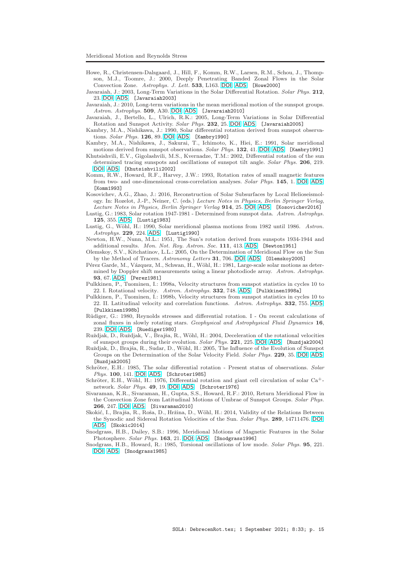- <span id="page-14-14"></span>Howe, R., Christensen-Dalsgaard, J., Hill, F., Komm, R.W., Larsen, R.M., Schou, J., Thompson, M.J., Toomre, J.: 2000, Deeply Penetrating Banded Zonal Flows in the Solar Convection Zone. *Astrophys. J. Lett.* 533, L163. [DOI](http://dx.doi.org/10.1086/312623). [ADS](http://adsabs.harvard.edu/abs/2000ApJ...533L.163H). [Howe2000]
- <span id="page-14-4"></span>Javaraiah, J.: 2003, Long-Term Variations in the Solar Differential Rotation. *Solar Phys.* 212, 23. [DOI](http://dx.doi.org/10.1023/A:1022912430585). [ADS](http://adsabs.harvard.edu/abs/2003SoPh..212...23J). [Javaraiah2003]
- <span id="page-14-6"></span>Javaraiah, J.: 2010, Long-term variations in the mean meridional motion of the sunspot groups. *Astron. Astrophys.* 509, A30. [DOI](http://dx.doi.org/10.1051/0004-6361/200912968). [ADS](http://adsabs.harvard.edu/abs/2010A%26A...509A..30J). [Javaraiah2010]
- <span id="page-14-5"></span>Javaraiah, J., Bertello, L., Ulrich, R.K.: 2005, Long-Term Variations in Solar Differential Rotation and Sunspot Activity. *Solar Phys.* 232, 25. [DOI](http://dx.doi.org/10.1007/s11207-005-8776-y). [ADS](http://adsabs.harvard.edu/abs/2005SoPh..232...25J). [Javaraiah2005]
- <span id="page-14-8"></span>Kambry, M.A., Nishikawa, J.: 1990, Solar differential rotation derived from sunspot observations. *Solar Phys.* 126, 89. [DOI](http://dx.doi.org/10.1007/BF00158300). [ADS](http://adsabs.harvard.edu/abs/1990SoPh..126...89K). [Kambry1990]
- <span id="page-14-18"></span>Kambry, M.A., Nishikawa, J., Sakurai, T., Ichimoto, K., Hiei, E.: 1991, Solar meridional motions derived from sunspot observations. *Solar Phys.* 132, 41. [DOI](http://dx.doi.org/10.1007/BF00159128). [ADS](http://adsabs.harvard.edu/abs/1991SoPh..132...41K). [Kambry1991]
- <span id="page-14-9"></span>Khutsishvili, E.V., Gigolashvili, M.S., Kvernadze, T.M.: 2002, Differential rotation of the sun determined tracing sunspots and oscillations of sunspot tilt angle. *Solar Phys.* 206, 219. [DOI](http://dx.doi.org/10.1023/A:1015068629350). [ADS](http://adsabs.harvard.edu/abs/2002SoPh..206..219K). [Khutsishvili2002]
- <span id="page-14-19"></span>Komm, R.W., Howard, R.F., Harvey, J.W.: 1993, Rotation rates of small magnetic features from two- and one-dimensional cross-correlation analyses. *Solar Phys.* 145, 1. [DOI](http://dx.doi.org/10.1007/BF00627979). [ADS](http://adsabs.harvard.edu/abs/1993SoPh..145....1K). [Komm1993]
- <span id="page-14-15"></span>Kosovichev, A.G., Zhao, J.: 2016, Reconstruction of Solar Subsurfaces by Local Helioseismology. In: Rozelot, J.-P., Neiner, C. (eds.) *Lecture Notes in Physics, Berlin Springer Verlag*, *Lecture Notes in Physics, Berlin Springer Verlag* 914, 25. [DOI](http://dx.doi.org/10.1007/978-3-319-24151-7_2). [ADS](http://adsabs.harvard.edu/abs/2016LNP...914...25K). [Kosovichev2016]
- <span id="page-14-7"></span>Lustig, G.: 1983, Solar rotation 1947-1981 - Determined from sunspot data. *Astron. Astrophys.* 125, 355. [ADS](http://adsabs.harvard.edu/abs/1983A%26A...125..355L). [Lustig1983]
- <span id="page-14-16"></span>Lustig, G., Wöhl, H.: 1990, Solar meridional plasma motions from 1982 until 1986. Astron. *Astrophys.* 229, 224. [ADS](http://adsabs.harvard.edu/abs/1990A%26A...229..224L). [Lustig1990]
- <span id="page-14-0"></span>Newton, H.W., Nunn, M.L.: 1951, The Sun's rotation derived from sunspots 1934-1944 and additional results. *Mon. Not. Roy. Astron. Soc.* 111, 413. [ADS](http://adsabs.harvard.edu/abs/1951MNRAS.111..413N). [Newton1951]
- <span id="page-14-22"></span>Olemskoy, S.V., Kitchatinov, L.L.: 2005, On the Determination of Meridional Flow on the Sun by the Method of Tracers. *Astronomy Letters* 31, 706. [DOI](http://dx.doi.org/10.1134/1.2075313). [ADS](http://adsabs.harvard.edu/abs/2005AstL...31..706O). [Olemskoy2005]
- <span id="page-14-17"></span>Pérez Garde, M., Vázquez, M., Schwan, H., Wöhl, H.: 1981, Large-scale solar motions as determined by Doppler shift measurements using a linear photodiode array. *Astron. Astrophys.* 93, 67. [ADS](http://adsabs.harvard.edu/abs/1981A%26A....93...67P). [Perez1981]
- <span id="page-14-3"></span>Pulkkinen, P., Tuominen, I.: 1998a, Velocity structures from sunspot statistics in cycles 10 to 22. I. Rotational velocity. *Astron. Astrophys.* 332, 748. [ADS](http://adsabs.harvard.edu/abs/1998A%26A...332..748P). [Pulkkinen1998a]
- <span id="page-14-11"></span>Pulkkinen, P., Tuominen, I.: 1998b, Velocity structures from sunspot statistics in cycles 10 to 22. II. Latitudinal velocity and correlation functions. *Astron. Astrophys.* 332, 755. [ADS](http://adsabs.harvard.edu/abs/1998A%26A...332..755P). [Pulkkinen1998b]
- <span id="page-14-10"></span>Rüdiger, G.: 1980, Reynolds stresses and differential rotation. I - On recent calculations of zonal fluxes in slowly rotating stars. *Geophysical and Astrophysical Fluid Dynamics* 16, 239. [DOI](http://dx.doi.org/10.1080/03091928008243659). [ADS](http://adsabs.harvard.edu/abs/1980GApFD..16..239R). [Ruediger1980]
- <span id="page-14-1"></span>Ruždjak, D., Ruždjak, V., Brajša, R., Wöhl, H.: 2004, Deceleration of the rotational velocities of sunspot groups during their evolution. *Solar Phys.* 221, 225. [DOI](http://dx.doi.org/10.1023/B:SOLA.0000035066.96031.4f). [ADS](http://adsabs.harvard.edu/abs/2004SoPh..221..225R). [Ruzdjak2004]
- <span id="page-14-2"></span>Ruždjak, D., Brajša, R., Sudar, D., Wöhl, H.: 2005, The Influence of the Evolution of Sunspot Groups on the Determination of the Solar Velocity Field. *Solar Phys.* 229, 35. [DOI](http://dx.doi.org/10.1007/s11207-005-3630-9). [ADS](http://adsabs.harvard.edu/abs/2005SoPh..229...35R). [Ruzdjak2005]
- <span id="page-14-12"></span>Schröter, E.H.: 1985, The solar differential rotation - Present status of observations. *Solar Phys.* 100, 141. [DOI](http://dx.doi.org/10.1007/BF00158426). [ADS](http://adsabs.harvard.edu/abs/1985SoPh..100..141S). [Schroter1985]
- <span id="page-14-13"></span>Schröter, E.H., Wöhl, H.: 1976, Differential rotation and giant cell circulation of solar Ca<sup>+</sup>network. *Solar Phys.* 49, 19. [DOI](http://dx.doi.org/10.1007/BF00221482). [ADS](http://adsabs.harvard.edu/abs/1976SoPh...49...19S). [Schroter1976]
- <span id="page-14-24"></span>Sivaraman, K.R., Sivaraman, H., Gupta, S.S., Howard, R.F.: 2010, Return Meridional Flow in the Convection Zone from Latitudinal Motions of Umbrae of Sunspot Groups. *Solar Phys.* 266, 247. [DOI](http://dx.doi.org/10.1007/s11207-010-9620-6). [ADS](http://adsabs.harvard.edu/abs/2010SoPh..266..247S). [Sivaraman2010]
- <span id="page-14-21"></span>Skokić, I., Brajša, R., Roša, D., Hržina, D., Wöhl, H.; 2014, Validity of the Relations Between the Synodic and Sidereal Rotation Velocities of the Sun. *Solar Phys.* 289, 14711476. [DOI](http://dx.doi.org/10.1007/s11207-013-0426-1). [ADS](http://adsabs.harvard.edu/abs/2013SoPh..tmp..274S). [Skokic2014]
- <span id="page-14-20"></span>Snodgrass, H.B., Dailey, S.B.: 1996, Meridional Motions of Magnetic Features in the Solar Photosphere. *Solar Phys.* 163, 21. [DOI](http://dx.doi.org/10.1007/BF00165454). [ADS](http://adsabs.harvard.edu/abs/1996SoPh..163...21S). [Snodgrass1996]
- <span id="page-14-23"></span>Snodgrass, H.B., Howard, R.: 1985, Torsional oscillations of low mode. *Solar Phys.* 95, 221. [DOI](http://dx.doi.org/10.1007/BF00152399). [ADS](http://adsabs.harvard.edu/abs/1985SoPh...95..221S). [Snodgrass1985]